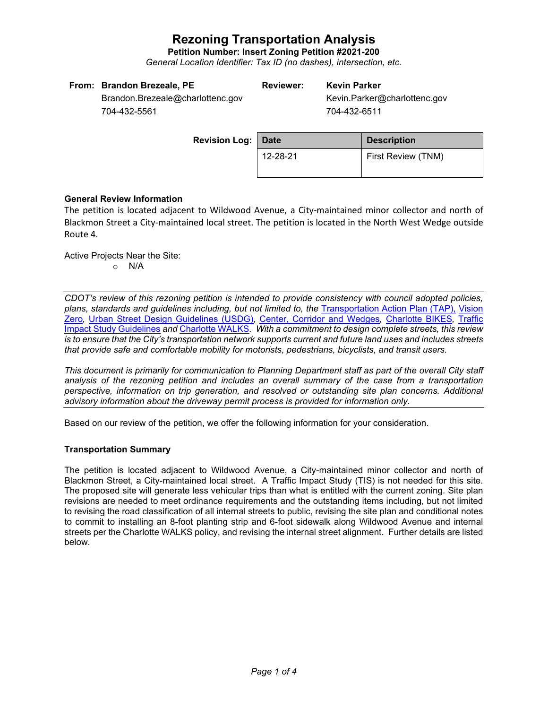**Petition Number: Insert Zoning Petition #2021-200**

*General Location Identifier: Tax ID (no dashes), intersection, etc.*

| From: Brandon Brezeale, PE       | <b>Reviewer:</b> | <b>Kevin Parker</b>          |
|----------------------------------|------------------|------------------------------|
| Brandon.Brezeale@charlottenc.gov |                  | Kevin.Parker@charlottenc.gov |
| 704-432-5561                     |                  | 704-432-6511                 |

| <b>Revision Log:   Date</b> |          | <b>Description</b> |  |
|-----------------------------|----------|--------------------|--|
|                             | 12-28-21 | First Review (TNM) |  |

# **General Review Information**

The petition is located adjacent to Wildwood Avenue, a City-maintained minor collector and north of Blackmon Street a City-maintained local street. The petition is located in the North West Wedge outside Route 4.

Active Projects Near the Site: o N/A

*CDOT's review of this rezoning petition is intended to provide consistency with council adopted policies, plans, standards and guidelines including, but not limited to, the* [Transportation Action Plan \(TAP\),](https://charlottenc.gov/Transportation/Programs/Pages/TransportationActionPlan.aspx) [Vision](https://charlottenc.gov/VisionZero/Pages/VisionZero.aspx)  [Zero](https://charlottenc.gov/VisionZero/Pages/VisionZero.aspx)*,* [Urban Street Design Guidelines \(USDG\)](https://charlottenc.gov/Transportation/PlansProjects/Documents/USDG%20Full%20Document.pdf)*,* [Center, Corridor and Wedges](http://ww.charmeck.org/Planning/Land%20Use%20Planning/CentersCorridorsWedges/CentersCorridorsWedges(Adopted).pdf)*,* [Charlotte BIKES](https://charlottenc.gov/Transportation/Programs/Pages/Bicycle.aspx)*,* [Traffic](https://charlottenc.gov/Transportation/Permits/Documents/TISProcessandGuildlines.pdf)  [Impact Study Guidelines](https://charlottenc.gov/Transportation/Permits/Documents/TISProcessandGuildlines.pdf) *and* [Charlotte WALKS](https://charlottenc.gov/Transportation/Programs/Pages/CharlotteWalks.aspx)*. With a commitment to design complete streets, this review is to ensure that the City's transportation network supports current and future land uses and includes streets that provide safe and comfortable mobility for motorists, pedestrians, bicyclists, and transit users.*

*This document is primarily for communication to Planning Department staff as part of the overall City staff analysis of the rezoning petition and includes an overall summary of the case from a transportation perspective, information on trip generation, and resolved or outstanding site plan concerns. Additional advisory information about the driveway permit process is provided for information only.*

Based on our review of the petition, we offer the following information for your consideration.

# **Transportation Summary**

The petition is located adjacent to Wildwood Avenue, a City-maintained minor collector and north of Blackmon Street, a City-maintained local street. A Traffic Impact Study (TIS) is not needed for this site. The proposed site will generate less vehicular trips than what is entitled with the current zoning. Site plan revisions are needed to meet ordinance requirements and the outstanding items including, but not limited to revising the road classification of all internal streets to public, revising the site plan and conditional notes to commit to installing an 8-foot planting strip and 6-foot sidewalk along Wildwood Avenue and internal streets per the Charlotte WALKS policy, and revising the internal street alignment. Further details are listed below.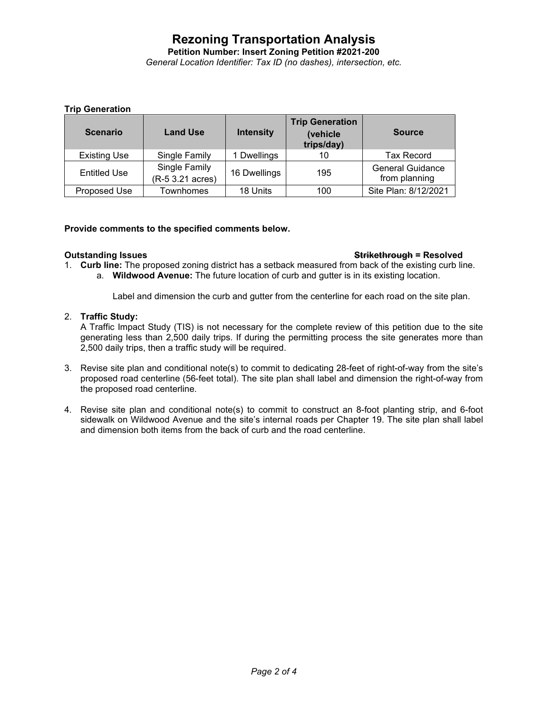**Petition Number: Insert Zoning Petition #2021-200**

*General Location Identifier: Tax ID (no dashes), intersection, etc.*

# **Trip Generation**

| <b>Scenario</b>     | <b>Land Use</b>                   | <b>Intensity</b> | <b>Trip Generation</b><br>(vehicle<br>trips/day) | <b>Source</b>                            |
|---------------------|-----------------------------------|------------------|--------------------------------------------------|------------------------------------------|
| <b>Existing Use</b> | Single Family                     | 1 Dwellings      | 10                                               | Tax Record                               |
| <b>Entitled Use</b> | Single Family<br>(R-5 3.21 acres) | 16 Dwellings     | 195                                              | <b>General Guidance</b><br>from planning |
| Proposed Use        | Townhomes                         | 18 Units         | 100                                              | Site Plan: 8/12/2021                     |

## **Provide comments to the specified comments below.**

### **Outstanding Issues Strikethrough = Resolved**

1. **Curb line:** The proposed zoning district has a setback measured from back of the existing curb line. a. **Wildwood Avenue:** The future location of curb and gutter is in its existing location.

Label and dimension the curb and gutter from the centerline for each road on the site plan.

## 2. **Traffic Study:**

A Traffic Impact Study (TIS) is not necessary for the complete review of this petition due to the site generating less than 2,500 daily trips. If during the permitting process the site generates more than 2,500 daily trips, then a traffic study will be required.

- 3. Revise site plan and conditional note(s) to commit to dedicating 28-feet of right-of-way from the site's proposed road centerline (56-feet total). The site plan shall label and dimension the right-of-way from the proposed road centerline.
- 4. Revise site plan and conditional note(s) to commit to construct an 8-foot planting strip, and 6-foot sidewalk on Wildwood Avenue and the site's internal roads per Chapter 19. The site plan shall label and dimension both items from the back of curb and the road centerline.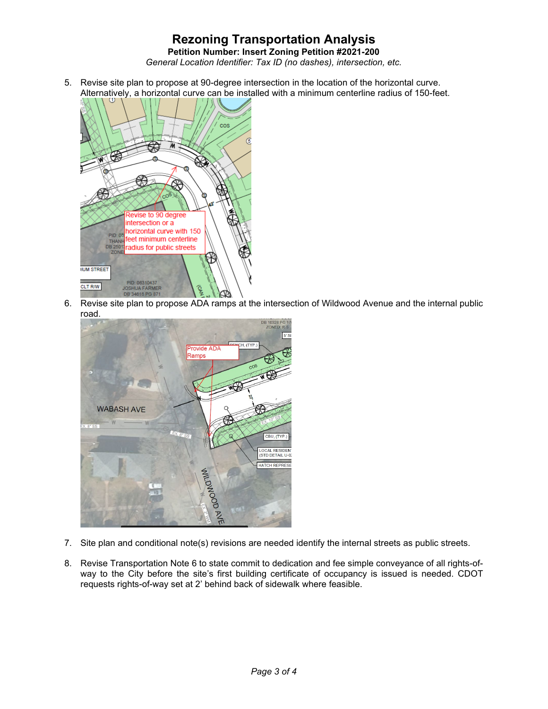**Petition Number: Insert Zoning Petition #2021-200**

*General Location Identifier: Tax ID (no dashes), intersection, etc.*

5. Revise site plan to propose at 90-degree intersection in the location of the horizontal curve. Alternatively, a horizontal curve can be installed with a minimum centerline radius of 150-feet.



6. Revise site plan to propose ADA ramps at the intersection of Wildwood Avenue and the internal public road.



- 7. Site plan and conditional note(s) revisions are needed identify the internal streets as public streets.
- 8. Revise Transportation Note 6 to state commit to dedication and fee simple conveyance of all rights-ofway to the City before the site's first building certificate of occupancy is issued is needed. CDOT requests rights-of-way set at 2' behind back of sidewalk where feasible.